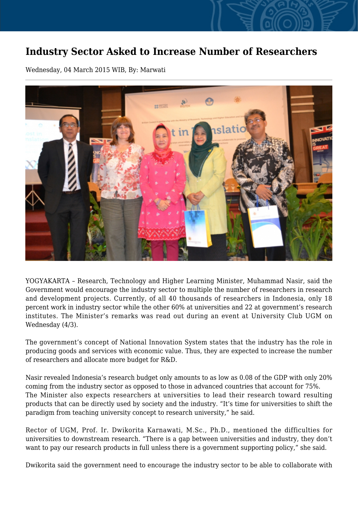## **Industry Sector Asked to Increase Number of Researchers**

Wednesday, 04 March 2015 WIB, By: Marwati



YOGYAKARTA – Research, Technology and Higher Learning Minister, Muhammad Nasir, said the Government would encourage the industry sector to multiple the number of researchers in research and development projects. Currently, of all 40 thousands of researchers in Indonesia, only 18 percent work in industry sector while the other 60% at universities and 22 at government's research institutes. The Minister's remarks was read out during an event at University Club UGM on Wednesday (4/3).

The government's concept of National Innovation System states that the industry has the role in producing goods and services with economic value. Thus, they are expected to increase the number of researchers and allocate more budget for R&D.

Nasir revealed Indonesia's research budget only amounts to as low as 0.08 of the GDP with only 20% coming from the industry sector as opposed to those in advanced countries that account for 75%. The Minister also expects researchers at universities to lead their research toward resulting products that can be directly used by society and the industry. "It's time for universities to shift the paradigm from teaching university concept to research university," he said.

Rector of UGM, Prof. Ir. Dwikorita Karnawati, M.Sc., Ph.D., mentioned the difficulties for universities to downstream research. "There is a gap between universities and industry, they don't want to pay our research products in full unless there is a government supporting policy," she said.

Dwikorita said the government need to encourage the industry sector to be able to collaborate with